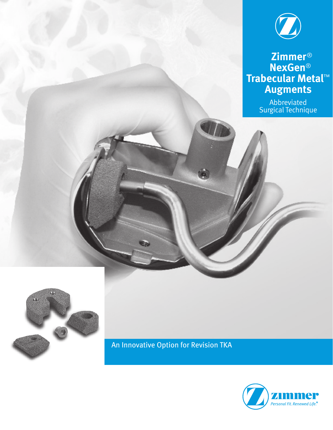

 **Zimmer**® **NexGen**® **Trabecular Metal**™ **Augments**

> Abbreviated Surgical Technique



An Innovative Option for Revision TKA

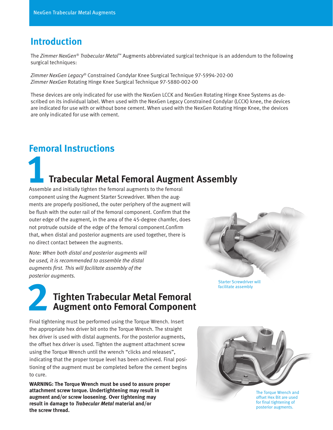#### **Introduction**

The *Zimmer NexGen® Trabecular Metal*™ Augments abbreviated surgical technique is an addendum to the following surgical techniques:

*Zimmer NexGen Legacy*® Constrained Condylar Knee Surgical Technique 97-5994-202-00 *Zimmer NexGen* Rotating Hinge Knee Surgical Technique 97-5880-002-00

These devices are only indicated for use with the NexGen LCCK and NexGen Rotating Hinge Knee Systems as described on its individual label. When used with the NexGen Legacy Constrained Condylar (LCCK) knee, the devices are indicated for use with or without bone cement. When used with the NexGen Rotating Hinge Knee, the devices are only indicated for use with cement.

#### **Femoral Instructions**

# **1Trabecular Metal Femoral Augment Assembly**

Assemble and initially tighten the femoral augments to the femoral component using the Augment Starter Screwdriver. When the augments are properly positioned, the outer periphery of the augment will be flush with the outer rail of the femoral component. Confirm that the outer edge of the augment, in the area of the 45-degree chamfer, does not protrude outside of the edge of the femoral component.Confirm that, when distal and posterior augments are used together, there is no direct contact between the augments.

*Note: When both distal and posterior augments will be used, it is recommended to assemble the distal augments first. This will facilitate assembly of the posterior augments.*

## **2Tighten Trabecular Metal Femoral Augment onto Femoral Component**

Final tightening must be performed using the Torque Wrench. Insert the appropriate hex driver bit onto the Torque Wrench. The straight hex driver is used with distal augments. For the posterior augments, the offset hex driver is used. Tighten the augment attachment screw using the Torque Wrench until the wrench "clicks and releases", indicating that the proper torque level has been achieved. Final positioning of the augment must be completed before the cement begins to cure.

**WARNING: The Torque Wrench must be used to assure proper attachment screw torque. Undertightening may result in augment and/or screw loosening. Over tightening may result in damage to** *Trabecular Metal* **material and/or the screw thread.**



Starter Screwdriver will facilitate assembly



offset Hex Bit are used for final tightening of posterior augments.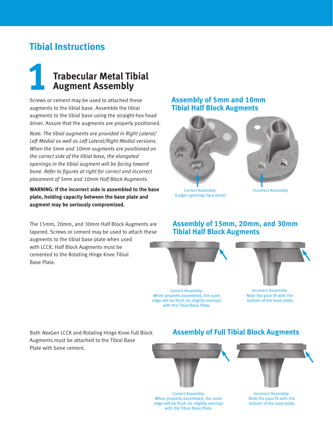#### **Tibial Instructions**

### **1Trabecular Metal Tibial Augment Assembly**

Screws or cement may be used to attached these augments to the tibial base. Assemble the tibial augments to the tibial base using the straight-hex head driver. Assure that the augments are properly positioned.

*Note: The tibial augments are provided in Right Lateral/ Left Medial as well as Left Lateral/Right Medial versions. When the 5mm and 10mm augments are positioned on the correct side of the tibial base, the elongated openings in the tibial augment will be facing toward bone. Refer to figures at right for correct and incorrect placement of 5mm and 10mm Half Block Augments.*

**WARNING: If the incorrect side is assembled to the base plate, holding capacity between the base plate and augment may be seriously compromised.**

The 15mm, 20mm, and 30mm Half Block Augments are tapered. Screws or cement may be used to attach these augments to the tibial base plate when used with LCCK. Half Block Augments must be cemented to the Rotating Hinge Knee Tibial Base Plate.

#### **Assembly of 5mm and 10mm Tibial Half Block Augments**



 Correct Assembly- Incorrect Assembly (Larger openings face bone)



#### **Assembly of 15mm, 20mm, and 30mm Tibial Half Block Augments**



Correct Assembly-When properly assembled, the outer edge will be flush (or slightly overlap) with the Tibial Base Plate.



Incorrect Assembly-Note the poor fit with the bottom of the base plate.

Both *NexGen* LCCK and Rotating Hinge Knee Full Block Augments must be attached to the Tibial Base Plate with bone cement.

#### **Assembly of Full Tibial Block Augments**



Correct Assembly-When properly assembled, the outer edge will be flush (or slightly overlap) with the Tibial Base Plate.

Incorrect Assembly-Note the poor fit with the bottom of the base plate.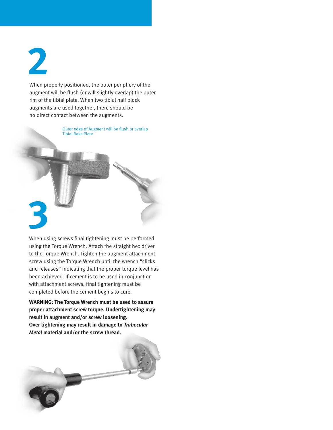**2**

When properly positioned, the outer periphery of the augment will be flush (or will slightly overlap) the outer rim of the tibial plate. When two tibial half block augments are used together, there should be no direct contact between the augments.

> Outer edge of Augment will be flush or overlap Tibial Base Plate

# **3**

When using screws final tightening must be performed using the Torque Wrench. Attach the straight hex driver to the Torque Wrench. Tighten the augment attachment screw using the Torque Wrench until the wrench "clicks and releases" indicating that the proper torque level has been achieved. If cement is to be used in conjunction with attachment screws, final tightening must be completed before the cement begins to cure.

**WARNING: The Torque Wrench must be used to assure proper attachment screw torque. Undertightening may result in augment and/or screw loosening. Over tightening may result in damage to** *Trabecular Metal* **material and/or the screw thread.**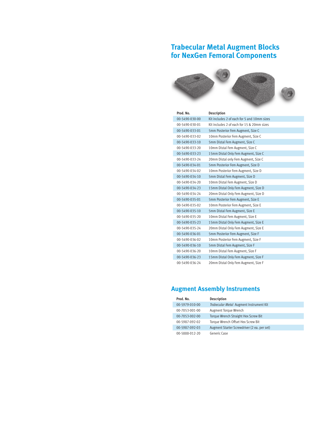#### **Trabecular Metal Augment Blocks for NexGen Femoral Components**



| Prod. No.      | <b>Description</b>                          |
|----------------|---------------------------------------------|
| 00-5490-030-00 | Kit includes 2 of each for 5 and 10mm sizes |
| 00-5490-030-01 | Kit includes 2 of each for 15 & 20mm sizes  |
| 00-5490-033-01 | 5mm Posterior Fem Augment, Size C           |
| 00-5490-033-02 | 10mm Posterior Fem Augment, Size C          |
| 00-5490-033-10 | 5mm Distal Fem Augment, Size C              |
| 00-5490-033-20 | 10mm Distal Fem Augment, Size C             |
| 00-5490-033-23 | 15mm Distal Only Fem Augment, Size C        |
| 00-5490-033-24 | 20mm Distal only Fem Augment, Size C        |
| 00-5490-034-01 | 5mm Posterior Fem Augment, Size D           |
| 00-5490-034-02 | 10mm Posterior Fem Augment, Size D          |
| 00-5490-034-10 | 5mm Distal Fem Augment, Size D              |
| 00-5490-034-20 | 10mm Distal Fem Augment, Size D             |
| 00-5490-034-23 | 15mm Distal Only Fem Augment, Size D        |
| 00-5490-034-24 | 20mm Distal Only Fem Augment, Size D        |
| 00-5490-035-01 | 5mm Posterior Fem Augment, Size E           |
| 00-5490-035-02 | 10mm Posterior Fem Augment, Size E          |
| 00-5490-035-10 | 5mm Distal Fem Augment, Size E              |
| 00-5490-035-20 | 10mm Distal Fem Augment, Size E             |
| 00-5490-035-23 | 15mm Distal Only Fem Augment, Size E        |
| 00-5490-035-24 | 20mm Distal Only Fem Augment, Size E        |
| 00-5490-036-01 | 5mm Posterior Fem Augment, Size F           |
| 00-5490-036-02 | 10mm Posterior Fem Augment, Size F          |
| 00-5490-036-10 | 5mm Distal Fem Augment, Size F              |
| 00-5490-036-20 | 10mm Distal Fem Augment, Size F             |
| 00-5490-036-23 | 15mm Distal Only Fem Augment, Size F        |
| 00-5490-036-24 | 20mm Distal Only Fem Augment, Size F        |

#### **Augment Assembly Instruments**

| Prod. No.      | <b>Description</b>                          |
|----------------|---------------------------------------------|
| 00-5979-010-00 | Trabecular Metal Augment Instrument Kit     |
| 00-7053-001-00 | Augment Torque Wrench                       |
| 00-7053-002-00 | Torque Wrench Straight Hex Screw Bit        |
| 00-5987-092-02 | Torque Wrench Offset Hex Screw Bit          |
| 00-5987-092-03 | Augment Starter Screwdriver (2 ea. per set) |
| 00-5888-012-20 | Generic Case                                |